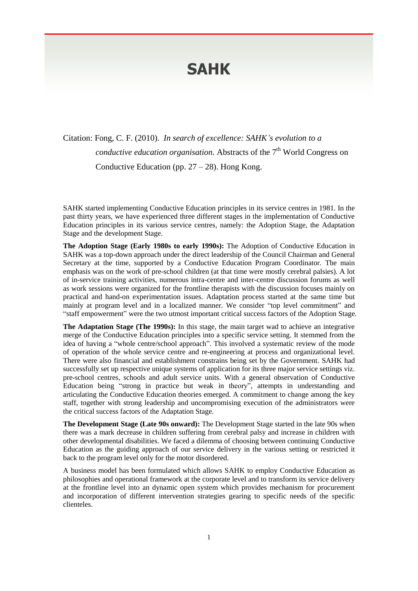## **SAHK**

Citation: Fong, C. F. (2010). *In search of excellence: SAHK's evolution to a* conductive education organisation. Abstracts of the 7<sup>th</sup> World Congress on Conductive Education (pp.  $27 - 28$ ). Hong Kong.

SAHK started implementing Conductive Education principles in its service centres in 1981. In the past thirty years, we have experienced three different stages in the implementation of Conductive Education principles in its various service centres, namely: the Adoption Stage, the Adaptation Stage and the development Stage.

**The Adoption Stage (Early 1980s to early 1990s):** The Adoption of Conductive Education in SAHK was a top-down approach under the direct leadership of the Council Chairman and General Secretary at the time, supported by a Conductive Education Program Coordinator. The main emphasis was on the work of pre-school children (at that time were mostly cerebral palsies). A lot of in-service training activities, numerous intra-centre and inter-centre discussion forums as well as work sessions were organized for the frontline therapists with the discussion focuses mainly on practical and hand-on experimentation issues. Adaptation process started at the same time but mainly at program level and in a localized manner. We consider "top level commitment" and "staff empowerment" were the two utmost important critical success factors of the Adoption Stage.

**The Adaptation Stage (The 1990s):** In this stage, the main target wad to achieve an integrative merge of the Conductive Education principles into a specific service setting. It stemmed from the idea of having a "whole centre/school approach". This involved a systematic review of the mode of operation of the whole service centre and re-engineering at process and organizational level. There were also financial and establishment constrains being set by the Government. SAHK had successfully set up respective unique systems of application for its three major service settings viz. pre-school centres, schools and adult service units. With a general observation of Conductive Education being "strong in practice but weak in theory", attempts in understanding and articulating the Conductive Education theories emerged. A commitment to change among the key staff, together with strong leadership and uncompromising execution of the administrators were the critical success factors of the Adaptation Stage.

**The Development Stage (Late 90s onward):** The Development Stage started in the late 90s when there was a mark decrease in children suffering from cerebral palsy and increase in children with other developmental disabilities. We faced a dilemma of choosing between continuing Conductive Education as the guiding approach of our service delivery in the various setting or restricted it back to the program level only for the motor disordered.

A business model has been formulated which allows SAHK to employ Conductive Education as philosophies and operational framework at the corporate level and to transform its service delivery at the frontline level into an dynamic open system which provides mechanism for procurement and incorporation of different intervention strategies gearing to specific needs of the specific clienteles.